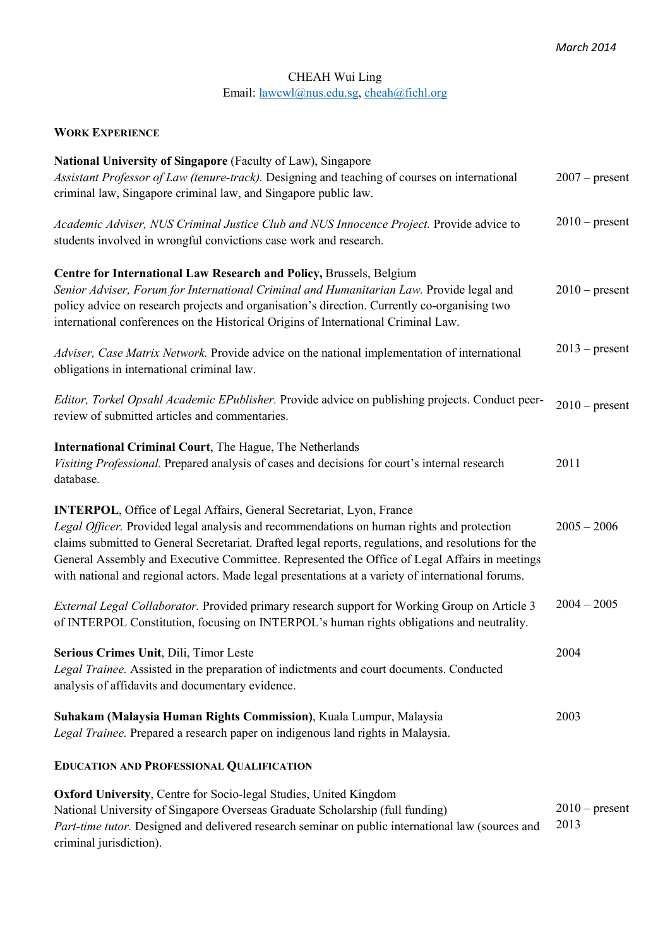# CHEAH Wui Ling Email: lawcwl@nus.edu.sg, cheah@fichl.org

## **WORK EXPERIENCE**

| National University of Singapore (Faculty of Law), Singapore<br>Assistant Professor of Law (tenure-track). Designing and teaching of courses on international<br>criminal law, Singapore criminal law, and Singapore public law.                                                                                                                                                                                                                                                       |               | $2007$ – present |
|----------------------------------------------------------------------------------------------------------------------------------------------------------------------------------------------------------------------------------------------------------------------------------------------------------------------------------------------------------------------------------------------------------------------------------------------------------------------------------------|---------------|------------------|
| Academic Adviser, NUS Criminal Justice Club and NUS Innocence Project. Provide advice to<br>students involved in wrongful convictions case work and research.                                                                                                                                                                                                                                                                                                                          |               | $2010$ – present |
| Centre for International Law Research and Policy, Brussels, Belgium<br>Senior Adviser, Forum for International Criminal and Humanitarian Law. Provide legal and<br>policy advice on research projects and organisation's direction. Currently co-organising two<br>international conferences on the Historical Origins of International Criminal Law.                                                                                                                                  |               | $2010$ – present |
| Adviser, Case Matrix Network. Provide advice on the national implementation of international<br>obligations in international criminal law.                                                                                                                                                                                                                                                                                                                                             |               | $2013$ – present |
| Editor, Torkel Opsahl Academic EPublisher. Provide advice on publishing projects. Conduct peer-<br>review of submitted articles and commentaries.                                                                                                                                                                                                                                                                                                                                      |               | $2010$ – present |
| International Criminal Court, The Hague, The Netherlands<br>Visiting Professional. Prepared analysis of cases and decisions for court's internal research<br>database.                                                                                                                                                                                                                                                                                                                 | 2011          |                  |
| <b>INTERPOL, Office of Legal Affairs, General Secretariat, Lyon, France</b><br>Legal Officer. Provided legal analysis and recommendations on human rights and protection<br>claims submitted to General Secretariat. Drafted legal reports, regulations, and resolutions for the<br>General Assembly and Executive Committee. Represented the Office of Legal Affairs in meetings<br>with national and regional actors. Made legal presentations at a variety of international forums. | $2005 - 2006$ |                  |
| External Legal Collaborator. Provided primary research support for Working Group on Article 3<br>of INTERPOL Constitution, focusing on INTERPOL's human rights obligations and neutrality.                                                                                                                                                                                                                                                                                             | $2004 - 2005$ |                  |
| Serious Crimes Unit, Dili, Timor Leste<br>Legal Trainee. Assisted in the preparation of indictments and court documents. Conducted<br>analysis of affidavits and documentary evidence.                                                                                                                                                                                                                                                                                                 | 2004          |                  |
| Suhakam (Malaysia Human Rights Commission), Kuala Lumpur, Malaysia<br>Legal Trainee. Prepared a research paper on indigenous land rights in Malaysia.                                                                                                                                                                                                                                                                                                                                  | 2003          |                  |
| <b>EDUCATION AND PROFESSIONAL QUALIFICATION</b>                                                                                                                                                                                                                                                                                                                                                                                                                                        |               |                  |
| Oxford University, Centre for Socio-legal Studies, United Kingdom<br>National University of Singapore Overseas Graduate Scholarship (full funding)<br>Part-time tutor. Designed and delivered research seminar on public international law (sources and<br>criminal jurisdiction).                                                                                                                                                                                                     | 2013          | $2010$ – present |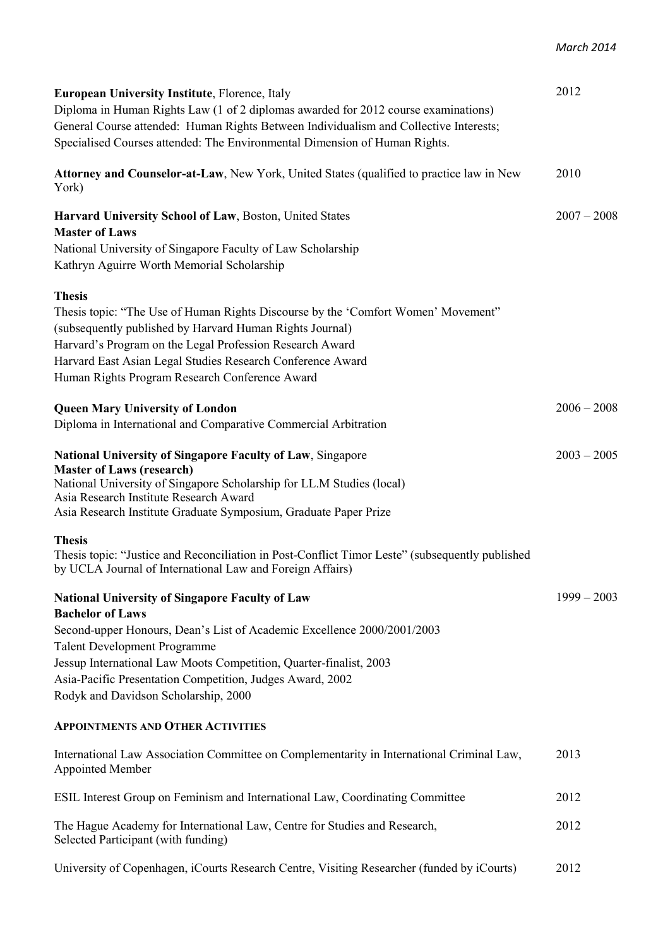| <b>European University Institute, Florence, Italy</b>                                                                                                        | 2012          |
|--------------------------------------------------------------------------------------------------------------------------------------------------------------|---------------|
| Diploma in Human Rights Law (1 of 2 diplomas awarded for 2012 course examinations)                                                                           |               |
| General Course attended: Human Rights Between Individualism and Collective Interests;                                                                        |               |
|                                                                                                                                                              |               |
| Specialised Courses attended: The Environmental Dimension of Human Rights.                                                                                   |               |
| <b>Attorney and Counselor-at-Law</b> , New York, United States (qualified to practice law in New                                                             | 2010          |
| York)                                                                                                                                                        |               |
| Harvard University School of Law, Boston, United States                                                                                                      | $2007 - 2008$ |
| <b>Master of Laws</b>                                                                                                                                        |               |
| National University of Singapore Faculty of Law Scholarship                                                                                                  |               |
| Kathryn Aguirre Worth Memorial Scholarship                                                                                                                   |               |
| <b>Thesis</b>                                                                                                                                                |               |
| Thesis topic: "The Use of Human Rights Discourse by the 'Comfort Women' Movement"                                                                            |               |
| (subsequently published by Harvard Human Rights Journal)                                                                                                     |               |
| Harvard's Program on the Legal Profession Research Award                                                                                                     |               |
| Harvard East Asian Legal Studies Research Conference Award                                                                                                   |               |
| Human Rights Program Research Conference Award                                                                                                               |               |
|                                                                                                                                                              |               |
| <b>Queen Mary University of London</b>                                                                                                                       | $2006 - 2008$ |
| Diploma in International and Comparative Commercial Arbitration                                                                                              |               |
| National University of Singapore Faculty of Law, Singapore                                                                                                   | $2003 - 2005$ |
| <b>Master of Laws (research)</b>                                                                                                                             |               |
| National University of Singapore Scholarship for LL.M Studies (local)                                                                                        |               |
| Asia Research Institute Research Award                                                                                                                       |               |
| Asia Research Institute Graduate Symposium, Graduate Paper Prize                                                                                             |               |
| <b>Thesis</b>                                                                                                                                                |               |
| Thesis topic: "Justice and Reconciliation in Post-Conflict Timor Leste" (subsequently published<br>by UCLA Journal of International Law and Foreign Affairs) |               |
|                                                                                                                                                              |               |
| <b>National University of Singapore Faculty of Law</b>                                                                                                       | $1999 - 2003$ |
| <b>Bachelor of Laws</b>                                                                                                                                      |               |
| Second-upper Honours, Dean's List of Academic Excellence 2000/2001/2003                                                                                      |               |
| <b>Talent Development Programme</b>                                                                                                                          |               |
| Jessup International Law Moots Competition, Quarter-finalist, 2003                                                                                           |               |
| Asia-Pacific Presentation Competition, Judges Award, 2002                                                                                                    |               |
| Rodyk and Davidson Scholarship, 2000                                                                                                                         |               |
| <b>APPOINTMENTS AND OTHER ACTIVITIES</b>                                                                                                                     |               |
| International Law Association Committee on Complementarity in International Criminal Law,                                                                    | 2013          |
| <b>Appointed Member</b>                                                                                                                                      |               |
| ESIL Interest Group on Feminism and International Law, Coordinating Committee                                                                                | 2012          |
|                                                                                                                                                              |               |
| The Hague Academy for International Law, Centre for Studies and Research,                                                                                    | 2012          |
| Selected Participant (with funding)                                                                                                                          |               |

University of Copenhagen, iCourts Research Centre, Visiting Researcher (funded by iCourts) 2012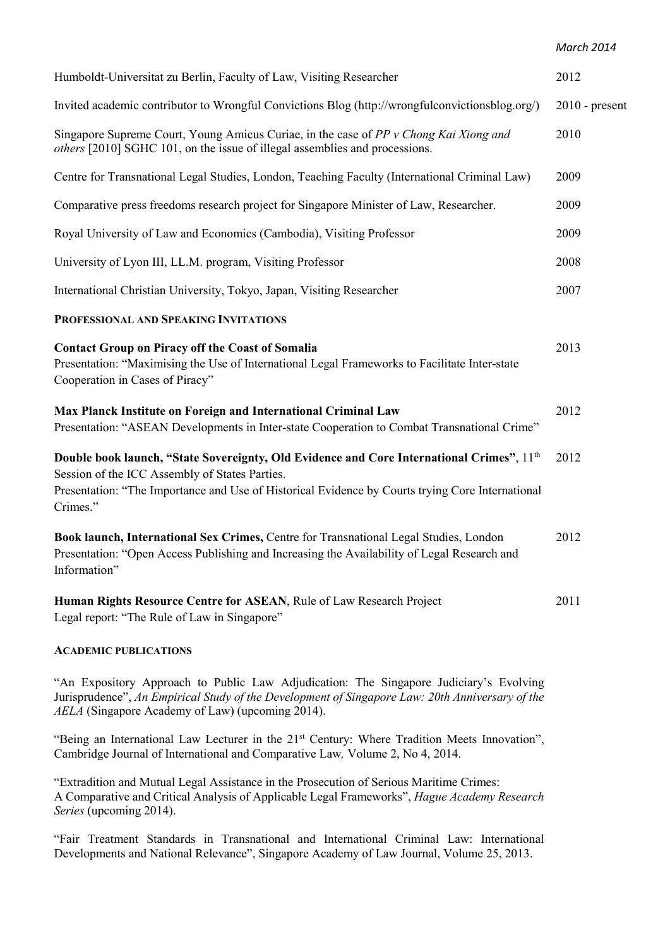*March 2014* 

| Humboldt-Universitat zu Berlin, Faculty of Law, Visiting Researcher                                                                                                                                                                                         | 2012             |
|-------------------------------------------------------------------------------------------------------------------------------------------------------------------------------------------------------------------------------------------------------------|------------------|
| Invited academic contributor to Wrongful Convictions Blog (http://wrongfulconvictionsblog.org/)                                                                                                                                                             | $2010$ - present |
| Singapore Supreme Court, Young Amicus Curiae, in the case of PP v Chong Kai Xiong and<br>others [2010] SGHC 101, on the issue of illegal assemblies and processions.                                                                                        | 2010             |
| Centre for Transnational Legal Studies, London, Teaching Faculty (International Criminal Law)                                                                                                                                                               | 2009             |
| Comparative press freedoms research project for Singapore Minister of Law, Researcher.                                                                                                                                                                      | 2009             |
| Royal University of Law and Economics (Cambodia), Visiting Professor                                                                                                                                                                                        | 2009             |
| University of Lyon III, LL.M. program, Visiting Professor                                                                                                                                                                                                   | 2008             |
| International Christian University, Tokyo, Japan, Visiting Researcher                                                                                                                                                                                       | 2007             |
| PROFESSIONAL AND SPEAKING INVITATIONS                                                                                                                                                                                                                       |                  |
| <b>Contact Group on Piracy off the Coast of Somalia</b><br>Presentation: "Maximising the Use of International Legal Frameworks to Facilitate Inter-state<br>Cooperation in Cases of Piracy"                                                                 | 2013             |
| Max Planck Institute on Foreign and International Criminal Law<br>Presentation: "ASEAN Developments in Inter-state Cooperation to Combat Transnational Crime"                                                                                               | 2012             |
| Double book launch, "State Sovereignty, Old Evidence and Core International Crimes", 11th<br>Session of the ICC Assembly of States Parties.<br>Presentation: "The Importance and Use of Historical Evidence by Courts trying Core International<br>Crimes." | 2012             |
| Book launch, International Sex Crimes, Centre for Transnational Legal Studies, London<br>Presentation: "Open Access Publishing and Increasing the Availability of Legal Research and<br>Information"                                                        | 2012             |
| Human Rights Resource Centre for ASEAN, Rule of Law Research Project<br>Legal report: "The Rule of Law in Singapore"                                                                                                                                        | 2011             |

### **ACADEMIC PUBLICATIONS**

"An Expository Approach to Public Law Adjudication: The Singapore Judiciary's Evolving Jurisprudence", *An Empirical Study of the Development of Singapore Law: 20th Anniversary of the AELA* (Singapore Academy of Law) (upcoming 2014).

"Being an International Law Lecturer in the 21<sup>st</sup> Century: Where Tradition Meets Innovation", Cambridge Journal of International and Comparative Law*,* Volume 2, No 4, 2014.

"Extradition and Mutual Legal Assistance in the Prosecution of Serious Maritime Crimes: A Comparative and Critical Analysis of Applicable Legal Frameworks", *Hague Academy Research Series* (upcoming 2014).

"Fair Treatment Standards in Transnational and International Criminal Law: International Developments and National Relevance", Singapore Academy of Law Journal, Volume 25, 2013.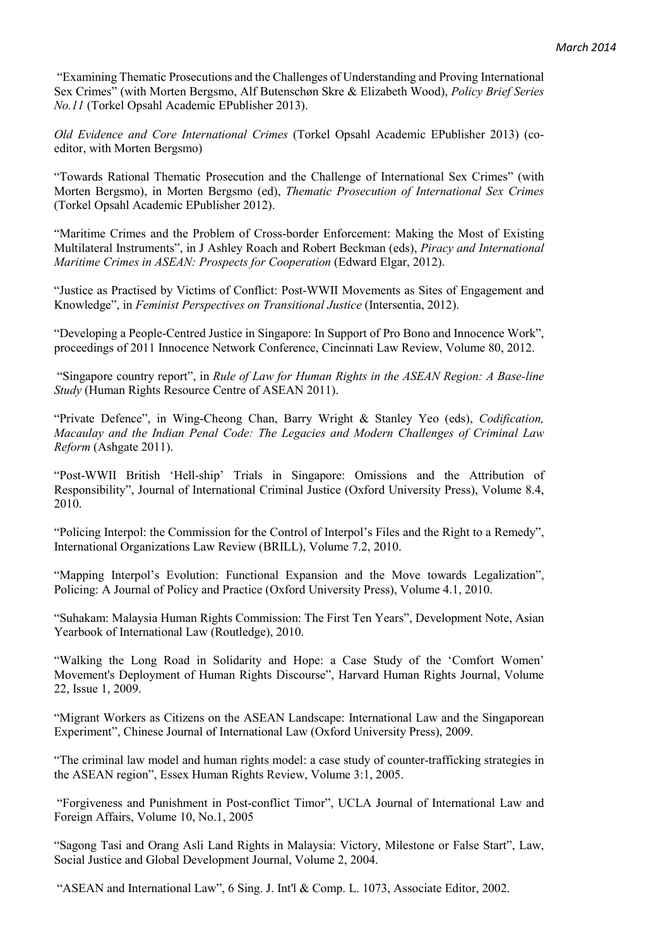"Examining Thematic Prosecutions and the Challenges of Understanding and Proving International Sex Crimes" (with Morten Bergsmo, Alf Butenschøn Skre & Elizabeth Wood), *Policy Brief Series No.11* (Torkel Opsahl Academic EPublisher 2013).

*Old Evidence and Core International Crimes* (Torkel Opsahl Academic EPublisher 2013) (coeditor, with Morten Bergsmo)

"Towards Rational Thematic Prosecution and the Challenge of International Sex Crimes" (with Morten Bergsmo), in Morten Bergsmo (ed), *Thematic Prosecution of International Sex Crimes*  (Torkel Opsahl Academic EPublisher 2012).

"Maritime Crimes and the Problem of Cross-border Enforcement: Making the Most of Existing Multilateral Instruments", in J Ashley Roach and Robert Beckman (eds), *Piracy and International Maritime Crimes in ASEAN: Prospects for Cooperation* (Edward Elgar, 2012).

"Justice as Practised by Victims of Conflict: Post-WWII Movements as Sites of Engagement and Knowledge", in *Feminist Perspectives on Transitional Justice* (Intersentia, 2012).

"Developing a People-Centred Justice in Singapore: In Support of Pro Bono and Innocence Work", proceedings of 2011 Innocence Network Conference, Cincinnati Law Review, Volume 80, 2012.

 "Singapore country report", in *Rule of Law for Human Rights in the ASEAN Region: A Base-line Study* (Human Rights Resource Centre of ASEAN 2011).

"Private Defence", in Wing-Cheong Chan, Barry Wright & Stanley Yeo (eds), *Codification, Macaulay and the Indian Penal Code: The Legacies and Modern Challenges of Criminal Law Reform* (Ashgate 2011).

"Post-WWII British 'Hell-ship' Trials in Singapore: Omissions and the Attribution of Responsibility", Journal of International Criminal Justice (Oxford University Press), Volume 8.4, 2010.

"Policing Interpol: the Commission for the Control of Interpol's Files and the Right to a Remedy", International Organizations Law Review (BRILL), Volume 7.2, 2010.

"Mapping Interpol's Evolution: Functional Expansion and the Move towards Legalization", Policing: A Journal of Policy and Practice (Oxford University Press), Volume 4.1, 2010.

"Suhakam: Malaysia Human Rights Commission: The First Ten Years", Development Note, Asian Yearbook of International Law (Routledge), 2010.

"Walking the Long Road in Solidarity and Hope: a Case Study of the 'Comfort Women' Movement's Deployment of Human Rights Discourse", Harvard Human Rights Journal, Volume 22, Issue 1, 2009.

"Migrant Workers as Citizens on the ASEAN Landscape: International Law and the Singaporean Experiment", Chinese Journal of International Law (Oxford University Press), 2009.

"The criminal law model and human rights model: a case study of counter-trafficking strategies in the ASEAN region", Essex Human Rights Review, Volume 3:1, 2005.

 "Forgiveness and Punishment in Post-conflict Timor", UCLA Journal of International Law and Foreign Affairs, Volume 10, No.1, 2005

"Sagong Tasi and Orang Asli Land Rights in Malaysia: Victory, Milestone or False Start", Law, Social Justice and Global Development Journal, Volume 2, 2004.

"ASEAN and International Law", 6 Sing. J. Int'l & Comp. L. 1073, Associate Editor, 2002.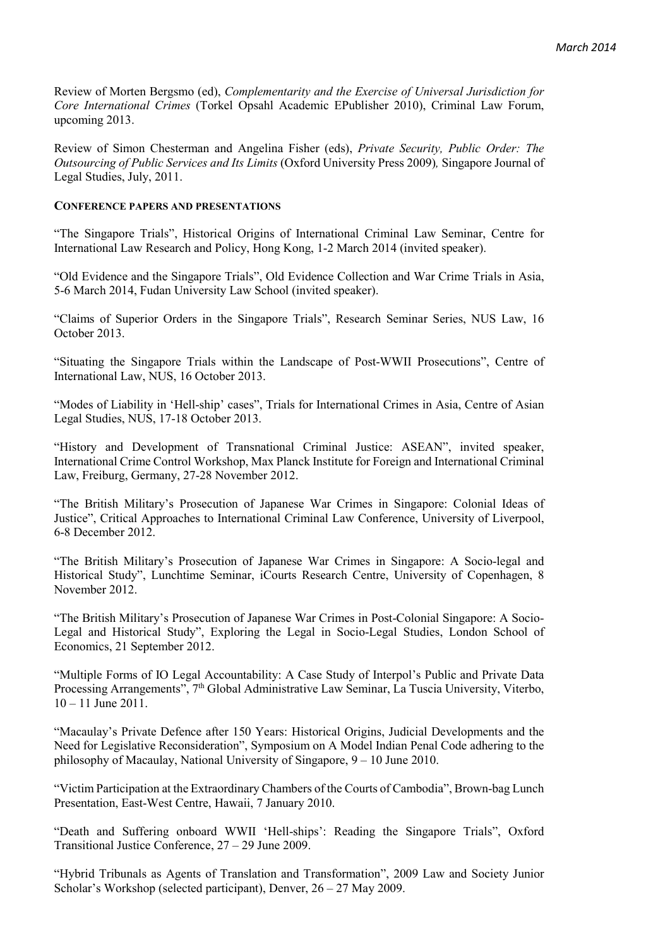Review of Morten Bergsmo (ed), *Complementarity and the Exercise of Universal Jurisdiction for Core International Crimes* (Torkel Opsahl Academic EPublisher 2010), Criminal Law Forum, upcoming 2013.

Review of Simon Chesterman and Angelina Fisher (eds), *Private Security, Public Order: The Outsourcing of Public Services and Its Limits* (Oxford University Press 2009)*,* Singapore Journal of Legal Studies, July, 2011.

### **CONFERENCE PAPERS AND PRESENTATIONS**

"The Singapore Trials", Historical Origins of International Criminal Law Seminar, Centre for International Law Research and Policy, Hong Kong, 1-2 March 2014 (invited speaker).

"Old Evidence and the Singapore Trials", Old Evidence Collection and War Crime Trials in Asia, 5-6 March 2014, Fudan University Law School (invited speaker).

"Claims of Superior Orders in the Singapore Trials", Research Seminar Series, NUS Law, 16 October 2013.

"Situating the Singapore Trials within the Landscape of Post-WWII Prosecutions", Centre of International Law, NUS, 16 October 2013.

"Modes of Liability in 'Hell-ship' cases", Trials for International Crimes in Asia, Centre of Asian Legal Studies, NUS, 17-18 October 2013.

"History and Development of Transnational Criminal Justice: ASEAN", invited speaker, International Crime Control Workshop, Max Planck Institute for Foreign and International Criminal Law, Freiburg, Germany, 27-28 November 2012.

"The British Military's Prosecution of Japanese War Crimes in Singapore: Colonial Ideas of Justice", Critical Approaches to International Criminal Law Conference, University of Liverpool, 6-8 December 2012.

"The British Military's Prosecution of Japanese War Crimes in Singapore: A Socio-legal and Historical Study", Lunchtime Seminar, iCourts Research Centre, University of Copenhagen, 8 November 2012.

"The British Military's Prosecution of Japanese War Crimes in Post-Colonial Singapore: A Socio-Legal and Historical Study", Exploring the Legal in Socio-Legal Studies, London School of Economics, 21 September 2012.

"Multiple Forms of IO Legal Accountability: A Case Study of Interpol's Public and Private Data Processing Arrangements", 7<sup>th</sup> Global Administrative Law Seminar, La Tuscia University, Viterbo,  $10 - 11$  June 2011.

"Macaulay's Private Defence after 150 Years: Historical Origins, Judicial Developments and the Need for Legislative Reconsideration", Symposium on A Model Indian Penal Code adhering to the philosophy of Macaulay, National University of Singapore, 9 – 10 June 2010.

"Victim Participation at the Extraordinary Chambers of the Courts of Cambodia", Brown-bag Lunch Presentation, East-West Centre, Hawaii, 7 January 2010.

"Death and Suffering onboard WWII 'Hell-ships': Reading the Singapore Trials", Oxford Transitional Justice Conference, 27 – 29 June 2009.

"Hybrid Tribunals as Agents of Translation and Transformation", 2009 Law and Society Junior Scholar's Workshop (selected participant), Denver, 26 – 27 May 2009.